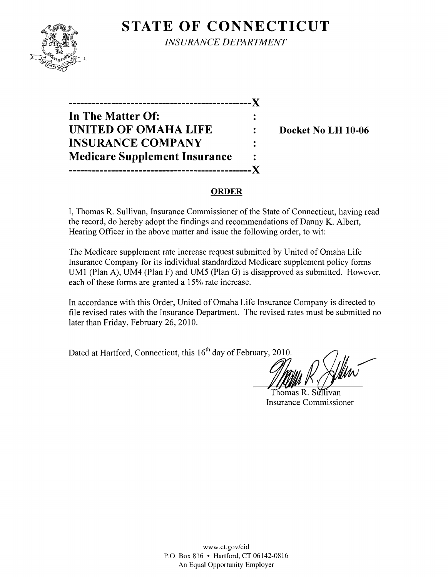# **STATE OF CONNECTICUT**



*INSURANCE DEPARTMENT* 

**-----------------------------------------------)( In The Matter Of: UNITED OF OMAHA LIFE : Docket No LH 10-06 INSURANCE COMPANY Medicare Supplement Insurance -----------------------------------------------)(** 

### **ORDER**

I, Thomas R. Sullivan, Insurance Commissioner of the State of Connecticut, having read the record, do hereby adopt the findings and recommendations of Danny K. Albert, Hearing Officer in the above matter and issue the following order, to wit:

The Medicare supplement rate increase request submitted by United of Omaha Life Insurance Company for its individual standardized Medicare supplement policy forms UM1 (Plan A), UM4 (Plan F) and UM5 (Plan G) is disapproved as submitted. However, each of these forms are granted a 15% rate increase.

In accordance with this Order, United of Omaha Life Insurance Company is directed to file revised rates with the Insurance Department. The revised rates must be submitted no later than Friday, February 26, 2010.

Dated at Hartford, Connecticut, this 16<sup>th</sup> day of February, 2010.

Thomas R. Sullivan Insurance Commissioner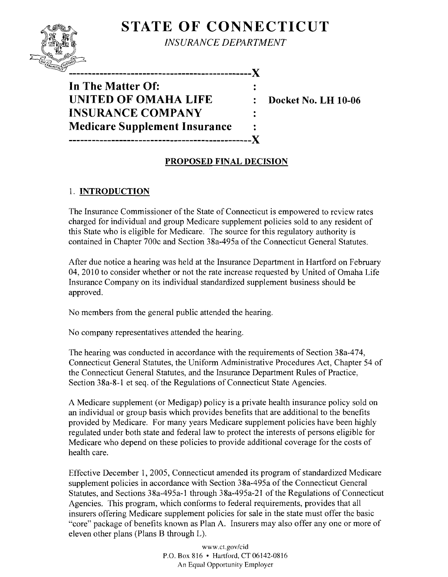## **STATE OF CONNECTICUT**



*INSURANCE DEPARTMENT* 

**-----------------------------------------------)(** 

**In The Matter Of: UNITED OF OMAHA LIFE : Docket No. LH 10-06 INSURANCE COMPANY Medicare Supplement Insurance** .. **-----------------------------------------------)(** 

## **PROPOSED FINAL DECISION**

## 1. **INTRODUCTION**

The Insurance Commissioner of the State of Connecticut is empowered to review rates charged for individual and group Medicare supplement policies sold to any resident of this State who is eligible for Medicare. The source for this regulatory authority is contained in Chapter 700c and Section 38a-495a of the Connecticut General Statutes.

After due notice a hearing was held at the Insurance Department in Hartford on February 04,2010 to consider whether or not the rate increase requested by United of Omaha Life Insurance Company on its individual standardized supplement business should be approved.

No members from the general public attended the hearing.

No company representatives attended the hearing.

The hearing was conducted in accordance with the requirements of Section 38a-474, Connecticut General Statutes, the Uniform Administrative Procedures Act, Chapter 54 of the Connecticut General Statutes, and the Insurance Department Rules of Practice, Section 38a-8-1 et seq. of the Regulations of Connecticut State Agencies.

A Medicare supplement (or Medigap) policy is a private health insurance policy sold on an individual or group basis which provides benefits that are additional to the benefits provided by Medicare. For many years Medicare supplement policies have been highly regulated under both state and federal law to protect the interests of persons eligible for Medicare who depend on these policies to provide additional coverage for the costs of health care.

Effective December 1, 2005, Connecticut amended its program of standardized Medicare supplement policies in accordance with Section 38a-495a of the Connecticut General Statutes, and Sections 38a-495a-1 through 38a-495a-21 of the Regulations of Connecticut Agencies. This program, which conforms to federal requirements, provides that all insurers offering Medicare supplement policies for sale in the state must offer the basic "core" package of benefits known as Plan A. Insurers may also offer anyone or more of eleven other plans (Plans B through L).

> www.ct.gov/cid P.O. Box 816 • Hartford, CT 06142-0816 An Equal Opportunity Employer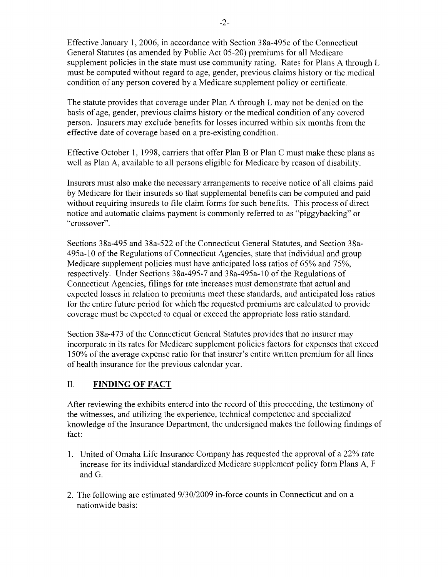Effective January 1,2006, in accordance with Section 38a-495c of the Connecticut General Statutes (as amended by Public Act 05-20) premiums for all Medicare supplement policies in the state must use community rating. Rates for Plans A through L must be computed without regard to age, gender, previous claims history or the medical condition of any person covered by a Medicare supplement policy or certificate.

The statute provides that coverage under Plan A through L may not be denied on the basis of age, gender, previous claims history or the medical condition of any covered person. Insurers may exclude benefits for losses incurred within six months from the effective date of coverage based on a pre-existing condition.

Effective October 1, 1998, carriers that offer Plan B or Plan C must make these plans as well as Plan A, available to all persons eligible for Medicare by reason of disability.

Insurers must also make the necessary arrangements to receive notice of all claims paid by Medicare for their insureds so that supplemental benefits can be computed and paid without requiring insureds to file claim forms for such benefits. This process of direct notice and automatic claims payment is commonly referred to as "piggybacking" or "crossover".

Sections 38a-495 and 38a-522 of the Connecticut General Statutes, and Section 38a-495a-10 of the Regulations of Connecticut Agencies, state that individual and group Medicare supplement policies must have anticipated loss ratios of 65% and 75%, respectively. Under Sections 38a-495-7 and 38a-495a-10 of the Regulations of Connecticut Agencies, filings for rate increases must demonstrate that actual and expected losses in relation to premiums meet these standards, and anticipated loss ratios for the entire future period for which the requested premiums are calculated to provide coverage must be expected to equal or exceed the appropriate loss ratio standard.

Section 38a-473 of the Connecticut General Statutes provides that no insurer may incorporate in its rates for Medicare supplement policies factors for expenses that exceed 150% of the average expense ratio for that insurer's entire written premium for all lines of health insurance for the previous calendar year.

#### II. **FINDING OF FACT**

After reviewing the exhibits entered into the record of this proceeding, the testimony of the witnesses, and utilizing the experience, technical competence and specialized knowledge of the Insurance Department, the undersigned makes the following findings of fact:

- 1. United of Omaha Life Insurance Company has requested the approval of a 22% rate increase for its individual standardized Medicare supplement policy form Plans A, F and G.
- 2. The following are estimated  $9/30/2009$  in-force counts in Connecticut and on a nationwide basis: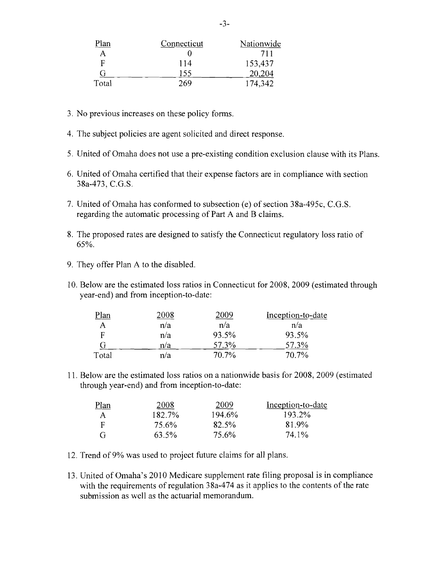| Plan  | Connecticut | Nationwide |
|-------|-------------|------------|
| Α     |             | 711        |
| F     | 114         | 153,437    |
| G     | 155         | 20,204     |
| Total | 269         | 174,342    |

- 3. No previous increases on these policy forms.
- 4. The subject policies are agent solicited and direct response.
- 5. United of Omaha does not use a pre-existing condition exclusion clause with its Plans.
- 6. United of Omaha certified that their expense factors are in compliance with section 38a-473, C.G.S.
- 7. United of Omaha has conformed to subsection (e) of section 38a-495c, C.G.S. regarding the automatic processing of Part A and B claims.
- 8. The proposed rates are designed to satisfy the Connecticut regulatory loss ratio of 65%.
- 9. They offer Plan A to the disabled.
- 10. Below are the estimated loss ratios in Connecticut for 2008, 2009 (estimated through year-end) and from inception-to-date:

| Plan  | 2008 | 2009     | Inception-to-date |
|-------|------|----------|-------------------|
|       | n/a  | n/a      | n/a               |
| F     | n/a  | 93.5%    | 93.5%             |
|       | n/a  | 57.3%    | 57.3%             |
| Total | n/a  | $70.7\%$ | 70.7%             |

11. Below are the estimated loss ratios on a nationwide basis for 2008, 2009 (estimated through year-end) and from inception-to-date:

| <u>Plan</u>  | 2008   | 2009   | Inception-to-date |
|--------------|--------|--------|-------------------|
| $\mathsf{A}$ | 182.7% | 194.6% | 193.2%            |
| F            | 75.6%  | 82.5%  | 81.9%             |
| G            | 63.5%  | 75.6%  | 74.1%             |

- 12. Trend of9% was used to project future claims for all plans.
- 13. United of Omaha's 2010 Medicare supplement rate filing proposal is in compliance with the requirements of regulation  $38a-474$  as it applies to the contents of the rate submission as well as the actuarial memorandum.